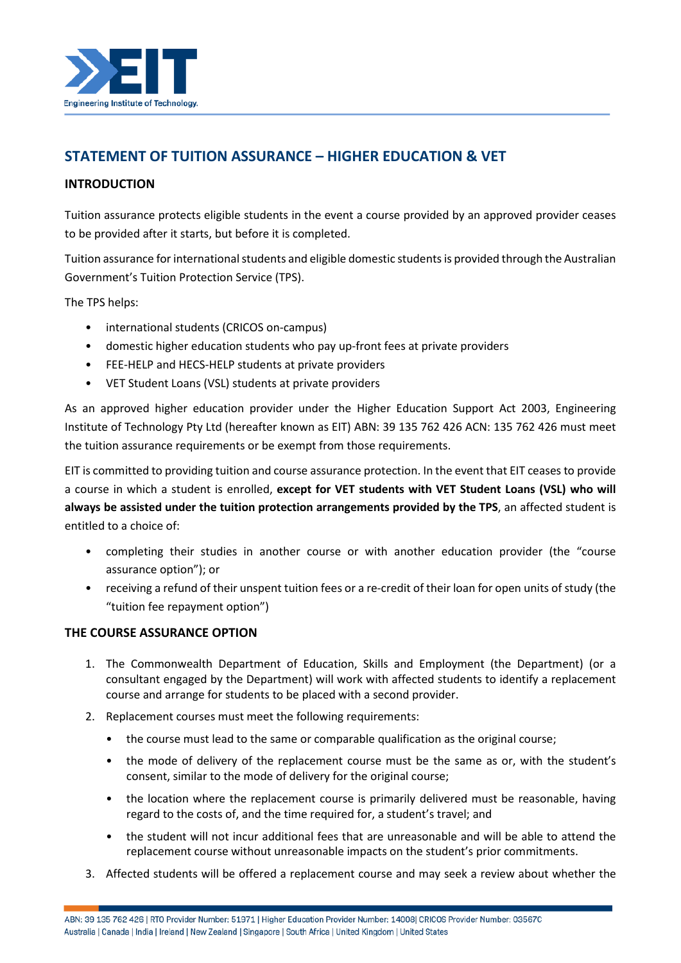

# **STATEMENT OF TUITION ASSURANCE – HIGHER EDUCATION & VET**

## **INTRODUCTION**

Tuition assurance protects eligible students in the event a course provided by an approved provider ceases to be provided after it starts, but before it is completed.

Tuition assurance for international students and eligible domestic students is provided through the Australian Government's Tuition Protection Service (TPS).

The TPS helps:

- international students (CRICOS on-campus)
- domestic higher education students who pay up-front fees at private providers
- FEE-HELP and HECS-HELP students at private providers
- VET Student Loans (VSL) students at private providers

As an approved higher education provider under the Higher Education Support Act 2003, Engineering Institute of Technology Pty Ltd (hereafter known as EIT) ABN: 39 135 762 426 ACN: 135 762 426 must meet the tuition assurance requirements or be exempt from those requirements.

EIT is committed to providing tuition and course assurance protection. In the event that EIT ceases to provide a course in which a student is enrolled, **except for VET students with VET Student Loans (VSL) who will always be assisted under the tuition protection arrangements provided by the TPS**, an affected student is entitled to a choice of:

- completing their studies in another course or with another education provider (the "course assurance option"); or
- receiving a refund of their unspent tuition fees or a re-credit of their loan for open units of study (the "tuition fee repayment option")

#### **THE COURSE ASSURANCE OPTION**

- 1. The Commonwealth Department of Education, Skills and Employment (the Department) (or a consultant engaged by the Department) will work with affected students to identify a replacement course and arrange for students to be placed with a second provider.
- 2. Replacement courses must meet the following requirements:
	- the course must lead to the same or comparable qualification as the original course;
	- the mode of delivery of the replacement course must be the same as or, with the student's consent, similar to the mode of delivery for the original course;
	- the location where the replacement course is primarily delivered must be reasonable, having regard to the costs of, and the time required for, a student's travel; and
	- the student will not incur additional fees that are unreasonable and will be able to attend the replacement course without unreasonable impacts on the student's prior commitments.
- 3. Affected students will be offered a replacement course and may seek a review about whether the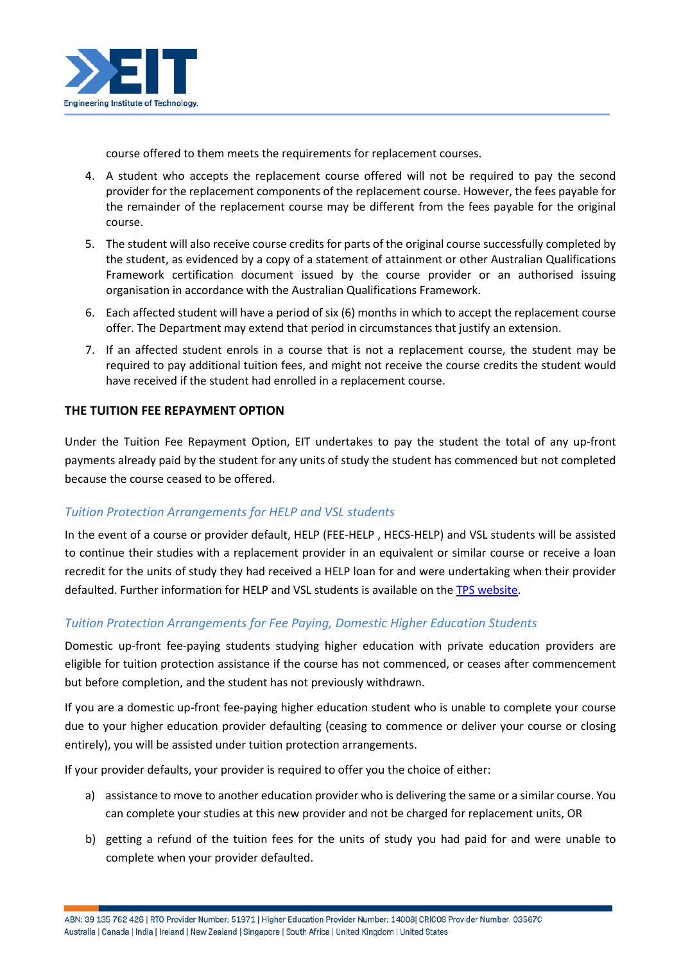

course offered to them meets the requirements for replacement courses.

- 4. A student who accepts the replacement course offered will not be required to pay the second provider for the replacement components of the replacement course. However, the fees payable for the remainder of the replacement course may be different from the fees payable for the original course.
- 5. The student will also receive course credits for parts of the original course successfully completed by the student, as evidenced by a copy of a statement of attainment or other Australian Qualifications Framework certification document issued by the course provider or an authorised issuing organisation in accordance with the Australian Qualifications Framework.
- 6. Each affected student will have a period of six (6) months in which to accept the replacement course offer. The Department may extend that period in circumstances that justify an extension.
- 7. If an affected student enrols in a course that is not a replacement course, the student may be required to pay additional tuition fees, and might not receive the course credits the student would have received if the student had enrolled in a replacement course.

#### **THE TUITION FEE REPAYMENT OPTION**

Under the Tuition Fee Repayment Option, EIT undertakes to pay the student the total of any up-front payments already paid by the student for any units of study the student has commenced but not completed because the course ceased to be offered.

#### *Tuition Protection Arrangements for HELP and VSL students*

In the event of a course or provider default, HELP (FEE-HELP , HECS-HELP) and VSL students will be assisted to continue their studies with a replacement provider in an equivalent or similar course or receive a loan recredit for the units of study they had received a HELP loan for and were undertaking when their provider defaulted. Further information for HELP and VSL students is available on the [TPS website.](https://www.dese.gov.au/tps)

#### *Tuition Protection Arrangements for Fee Paying, Domestic Higher Education Students*

Domestic up-front fee-paying students studying higher education with private education providers are eligible for tuition protection assistance if the course has not commenced, or ceases after commencement but before completion, and the student has not previously withdrawn.

If you are a domestic up-front fee-paying higher education student who is unable to complete your course due to your higher education provider defaulting (ceasing to commence or deliver your course or closing entirely), you will be assisted under tuition protection arrangements.

If your provider defaults, your provider is required to offer you the choice of either:

- a) assistance to move to another education provider who is delivering the same or a similar course. You can complete your studies at this new provider and not be charged for replacement units, OR
- b) getting a refund of the tuition fees for the units of study you had paid for and were unable to complete when your provider defaulted.